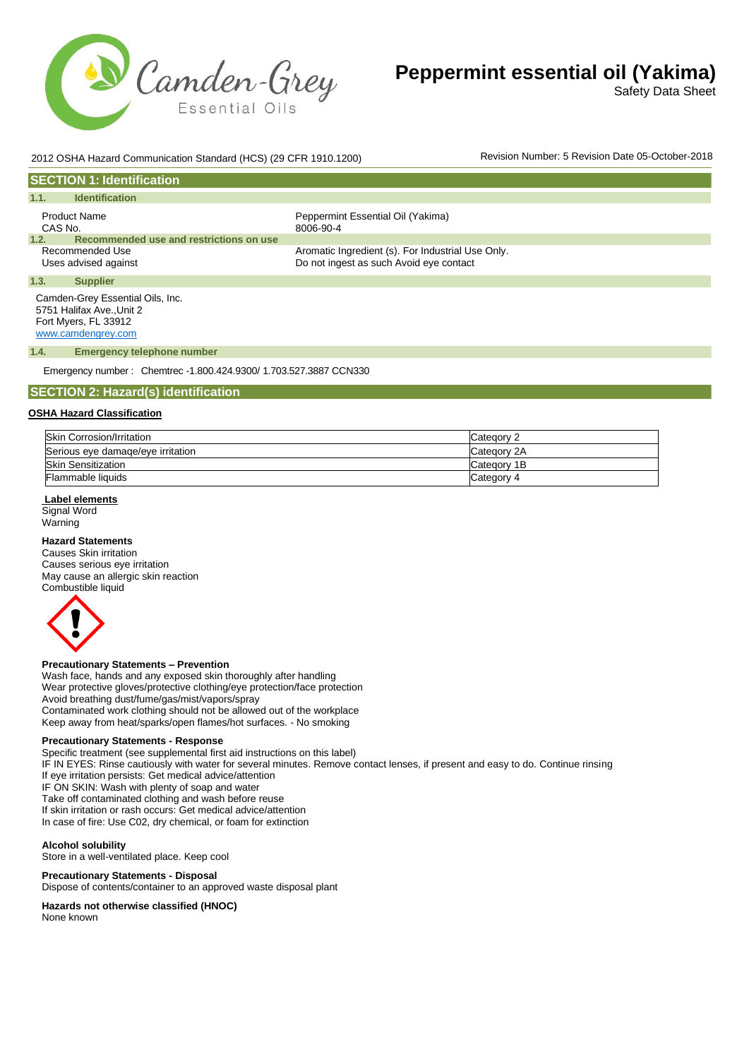

Safety Data Sheet

# 2012 OSHA Hazard Communication Standard (HCS) (29 CFR 1910.1200) Revision Number: 5 Revision Date 05-October-2018

| <b>SECTION 1: Identification</b>                              |                                                   |
|---------------------------------------------------------------|---------------------------------------------------|
| 1.1.<br><b>Identification</b>                                 |                                                   |
| <b>Product Name</b><br>CAS No.                                | Peppermint Essential Oil (Yakima)<br>8006-90-4    |
| Recommended use and restrictions on use<br>1.2.               |                                                   |
| Recommended Use                                               | Aromatic Ingredient (s). For Industrial Use Only. |
| Uses advised against                                          | Do not ingest as such Avoid eye contact           |
| 1.3.<br><b>Supplier</b>                                       |                                                   |
| Camden-Grey Essential Oils, Inc.<br>5751 Halifax Ave., Unit 2 |                                                   |

Fort Myers, FL 33912 [www.camdengrey.com](http://www.camdengrey.com/)

#### **1.4. Emergency telephone number**

Emergency number : Chemtrec -1.800.424.9300/ 1.703.527.3887 CCN330

#### **SECTION 2: Hazard(s) identification**

#### **OSHA Hazard Classification**

| Skin Corrosion/Irritation         | Category 2  |
|-----------------------------------|-------------|
| Serious eve damage/eve irritation | Category 2A |
| <b>Skin Sensitization</b>         | Category 1B |
| Flammable liquids                 | Category 4  |

#### **Label elements**

Signal Word Warning

#### **Hazard Statements**

Causes Skin irritation Causes serious eye irritation May cause an allergic skin reaction Combustible liquid



#### **Precautionary Statements – Prevention**

Wash face, hands and any exposed skin thoroughly after handling Wear protective gloves/protective clothing/eye protection/face protection Avoid breathing dust/fume/gas/mist/vapors/spray Contaminated work clothing should not be allowed out of the workplace Keep away from heat/sparks/open flames/hot surfaces. - No smoking

#### **Precautionary Statements - Response**

Specific treatment (see supplemental first aid instructions on this label) IF IN EYES: Rinse cautiously with water for several minutes. Remove contact lenses, if present and easy to do. Continue rinsing If eye irritation persists: Get medical advice/attention IF ON SKIN: Wash with plenty of soap and water

Take off contaminated clothing and wash before reuse

If skin irritation or rash occurs: Get medical advice/attention

In case of fire: Use C02, dry chemical, or foam for extinction

#### **Alcohol solubility**

Store in a well-ventilated place. Keep cool

#### **Precautionary Statements - Disposal**

Dispose of contents/container to an approved waste disposal plant

#### **Hazards not otherwise classified (HNOC)**

None known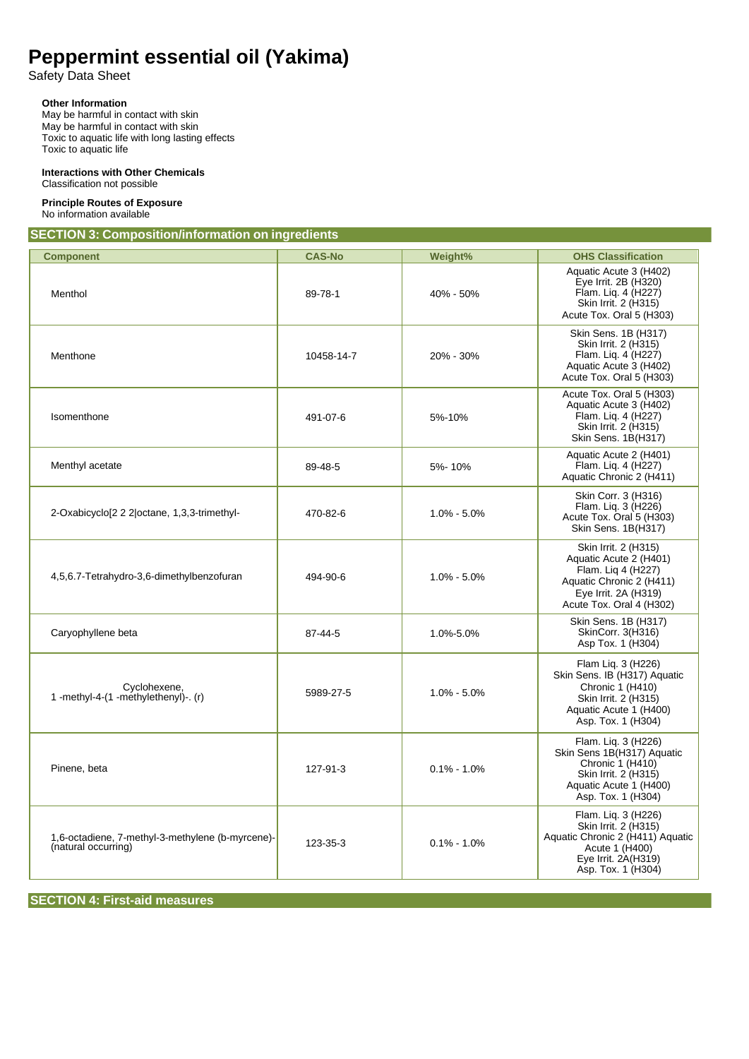Safety Data Sheet

# **Other Information**

May be harmful in contact with skin May be harmful in contact with skin Toxic to aquatic life with long lasting effects Toxic to aquatic life

#### **Interactions with Other Chemicals** Classification not possible

# **Principle Routes of Exposure**

No information available

**SECTION 3: Composition/information on ingredients**

| <b>Component</b>                                                        | <b>CAS-No</b> | Weight%         | <b>OHS Classification</b>                                                                                                                            |
|-------------------------------------------------------------------------|---------------|-----------------|------------------------------------------------------------------------------------------------------------------------------------------------------|
| Menthol                                                                 | 89-78-1       | 40% - 50%       | Aquatic Acute 3 (H402)<br>Eye Irrit. 2B (H320)<br>Flam. Liq. 4 (H227)<br>Skin Irrit. 2 (H315)<br>Acute Tox. Oral 5 (H303)                            |
| Menthone                                                                | 10458-14-7    | 20% - 30%       | Skin Sens. 1B (H317)<br>Skin Irrit. 2 (H315)<br>Flam. Liq. 4 (H227)<br>Aquatic Acute 3 (H402)<br>Acute Tox. Oral 5 (H303)                            |
| Isomenthone                                                             | 491-07-6      | 5%-10%          | Acute Tox. Oral 5 (H303)<br>Aquatic Acute 3 (H402)<br>Flam. Lig. 4 (H227)<br>Skin Irrit. 2 (H315)<br>Skin Sens. 1B(H317)                             |
| Menthyl acetate                                                         | 89-48-5       | 5%-10%          | Aquatic Acute 2 (H401)<br>Flam. Liq. 4 (H227)<br>Aquatic Chronic 2 (H411)                                                                            |
| 2-Oxabicyclo[2 2 2 octane, 1,3,3-trimethyl-                             | 470-82-6      | $1.0\% - 5.0\%$ | Skin Corr. 3 (H316)<br>Flam. Lig. 3 (H226)<br>Acute Tox. Oral 5 (H303)<br>Skin Sens. 1B(H317)                                                        |
| 4,5,6.7-Tetrahydro-3,6-dimethylbenzofuran                               | 494-90-6      | $1.0\% - 5.0\%$ | Skin Irrit. 2 (H315)<br>Aquatic Acute 2 (H401)<br>Flam. Lig 4 (H227)<br>Aquatic Chronic 2 (H411)<br>Eye Irrit. 2A (H319)<br>Acute Tox. Oral 4 (H302) |
| Caryophyllene beta                                                      | 87-44-5       | 1.0%-5.0%       | Skin Sens. 1B (H317)<br>SkinCorr. 3(H316)<br>Asp Tox. 1 (H304)                                                                                       |
| Cyclohexene.<br>1 -methyl-4- $(1$ -methylethenyl)-. $(r)$               | 5989-27-5     | $1.0\% - 5.0\%$ | Flam Lig. 3 (H226)<br>Skin Sens. IB (H317) Aquatic<br>Chronic 1 (H410)<br>Skin Irrit. 2 (H315)<br>Aquatic Acute 1 (H400)<br>Asp. Tox. 1 (H304)       |
| Pinene, beta                                                            | 127-91-3      | $0.1\% - 1.0\%$ | Flam. Lig. 3 (H226)<br>Skin Sens 1B(H317) Aquatic<br>Chronic 1 (H410)<br>Skin Irrit. 2 (H315)<br>Aquatic Acute 1 (H400)<br>Asp. Tox. 1 (H304)        |
| 1,6-octadiene, 7-methyl-3-methylene (b-myrcene)-<br>(natural occurring) | 123-35-3      | $0.1\% - 1.0\%$ | Flam. Lig. 3 (H226)<br>Skin Irrit. 2 (H315)<br>Aquatic Chronic 2 (H411) Aquatic<br>Acute 1 (H400)<br>Eye Irrit. 2A(H319)<br>Asp. Tox. 1 (H304)       |

# **SECTION 4: First-aid measures**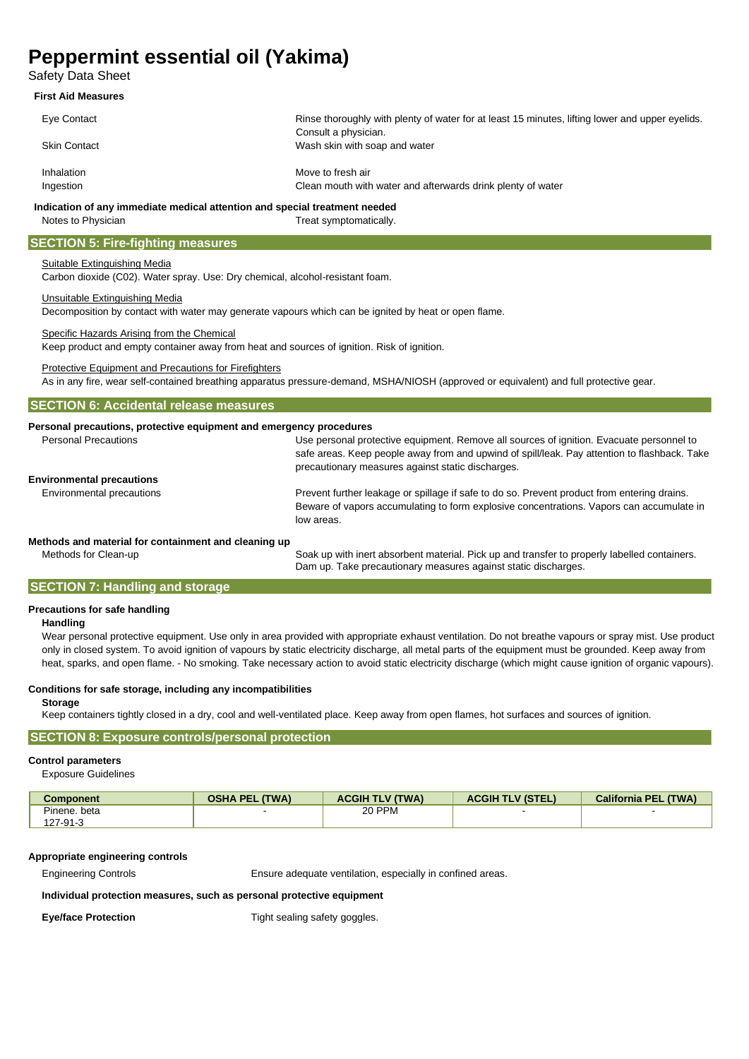Safety Data Sheet

#### **First Aid Measures**

| Eye Contact         | Rinse thoroughly with plenty of water for at least 15 minutes, lifting lower and upper eyelids. |
|---------------------|-------------------------------------------------------------------------------------------------|
| <b>Skin Contact</b> | Consult a physician.<br>Wash skin with soap and water                                           |
|                     |                                                                                                 |
| Inhalation          | Move to fresh air                                                                               |
| Ingestion           | Clean mouth with water and afterwards drink plenty of water                                     |
|                     | Indication of any immediate medical attention and special treatment needed                      |
| Notes to Physician  | Treat symptomatically.                                                                          |

**SECTION 5: Fire-fighting measures**

# Suitable Extinguishing Media

Carbon dioxide (C02). Water spray. Use: Dry chemical, alcohol-resistant foam.

# Unsuitable Extinguishing Media

Decomposition by contact with water may generate vapours which can be ignited by heat or open flame.

# Specific Hazards Arising from the Chemical

Keep product and empty container away from heat and sources of ignition. Risk of ignition.

# Protective Equipment and Precautions for Firefighters

As in any fire, wear self-contained breathing apparatus pressure-demand, MSHA/NIOSH (approved or equivalent) and full protective gear.

| <b>SECTION 6: Accidental release measures</b> |  |
|-----------------------------------------------|--|
|-----------------------------------------------|--|

# **Personal precautions, protective equipment and emergency procedures**

| <b>Personal Precautions</b>                          | Use personal protective equipment. Remove all sources of ignition. Evacuate personnel to<br>safe areas. Keep people away from and upwind of spill/leak. Pay attention to flashback. Take<br>precautionary measures against static discharges. |
|------------------------------------------------------|-----------------------------------------------------------------------------------------------------------------------------------------------------------------------------------------------------------------------------------------------|
| <b>Environmental precautions</b>                     |                                                                                                                                                                                                                                               |
| Environmental precautions                            | Prevent further leakage or spillage if safe to do so. Prevent product from entering drains.<br>Beware of vapors accumulating to form explosive concentrations. Vapors can accumulate in<br>low areas.                                         |
| Methods and material for containment and cleaning un |                                                                                                                                                                                                                                               |

## **Methods and material for containment and cleaning up**

Methods for Clean-up Soak up with inert absorbent material. Pick up and transfer to properly labelled containers. Dam up. Take precautionary measures against static discharges.

# **SECTION 7: Handling and storage**

# **Precautions for safe handling**

## **Handling**

Wear personal protective equipment. Use only in area provided with appropriate exhaust ventilation. Do not breathe vapours or spray mist. Use product only in closed system. To avoid ignition of vapours by static electricity discharge, all metal parts of the equipment must be grounded. Keep away from heat, sparks, and open flame. - No smoking. Take necessary action to avoid static electricity discharge (which might cause ignition of organic vapours).

# **Conditions for safe storage, including any incompatibilities**

#### **Storage**

Keep containers tightly closed in a dry, cool and well-ventilated place. Keep away from open flames, hot surfaces and sources of ignition.

# **SECTION 8: Exposure controls/personal protection**

## **Control parameters**

Exposure Guidelines

| <b>Component</b> | <b>OSHA PEL (TWA)</b> | <b>ACGIH TLV (TWA)</b> | <b>ACGIH TLV (STEL)</b> | <b>California PEL (TWA)</b> |
|------------------|-----------------------|------------------------|-------------------------|-----------------------------|
| Pinene, beta     |                       | 20 PPM                 |                         |                             |
| 127-91-3         |                       |                        |                         |                             |

## **Appropriate engineering controls**

Engineering Controls Ensure adequate ventilation, especially in confined areas.

## **Individual protection measures, such as personal protective equipment**

**Eye/face Protection** Tight sealing safety goggles.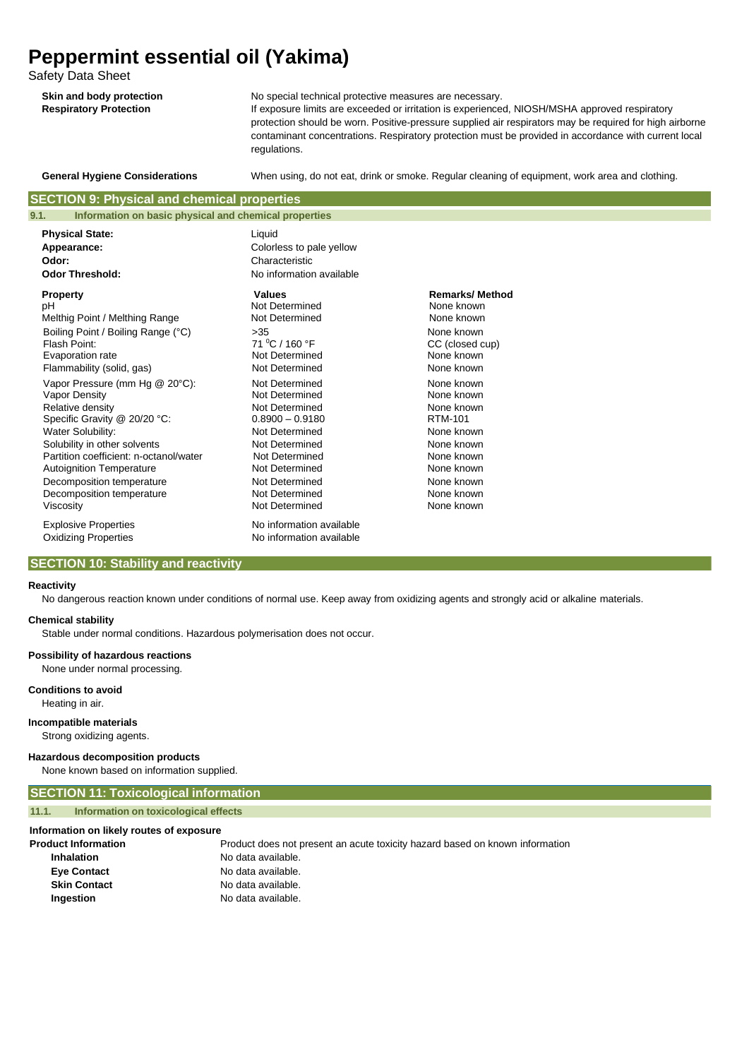Safety Data Sheet

| Skin and body protection      |  |  |
|-------------------------------|--|--|
| <b>Respiratory Protection</b> |  |  |

No special technical protective measures are necessary.

If exposure limits are exceeded or irritation is experienced, NIOSH/MSHA approved respiratory protection should be worn. Positive-pressure supplied air respirators may be required for high airborne contaminant concentrations. Respiratory protection must be provided in accordance with current local regulations.

**General Hygiene Considerations** When using, do not eat, drink or smoke. Regular cleaning of equipment, work area and clothing.

# **SECTION 9: Physical and chemical properties**

| 9.1.<br>Information on basic physical and chemical properties            |                                                                                  |                       |
|--------------------------------------------------------------------------|----------------------------------------------------------------------------------|-----------------------|
| <b>Physical State:</b><br>Appearance:<br>Odor:<br><b>Odor Threshold:</b> | Liquid<br>Colorless to pale yellow<br>Characteristic<br>No information available |                       |
| <b>Property</b>                                                          | <b>Values</b>                                                                    | <b>Remarks/Method</b> |
| рH                                                                       | Not Determined                                                                   | None known            |
| Melthig Point / Melthing Range                                           | Not Determined                                                                   | None known            |
| Boiling Point / Boiling Range (°C)                                       | >35                                                                              | None known            |
| Flash Point:                                                             | 71 °C / 160 °F                                                                   | CC (closed cup)       |
| Evaporation rate                                                         | Not Determined                                                                   | None known            |
| Flammability (solid, gas)                                                | Not Determined                                                                   | None known            |
| Vapor Pressure (mm Hg @ 20°C):                                           | Not Determined                                                                   | None known            |
| Vapor Density                                                            | Not Determined                                                                   | None known            |
| Relative density                                                         | Not Determined                                                                   | None known            |
| Specific Gravity @ 20/20 °C:                                             | $0.8900 - 0.9180$                                                                | RTM-101               |
| <b>Water Solubility:</b>                                                 | Not Determined                                                                   | None known            |
| Solubility in other solvents                                             | Not Determined                                                                   | None known            |
| Partition coefficient: n-octanol/water                                   | Not Determined                                                                   | None known            |
| <b>Autoignition Temperature</b>                                          | Not Determined                                                                   | None known            |
| Decomposition temperature                                                | Not Determined                                                                   | None known            |
| Decomposition temperature                                                | Not Determined                                                                   | None known            |
| Viscosity                                                                | Not Determined                                                                   | None known            |
| <b>Explosive Properties</b><br><b>Oxidizing Properties</b>               | No information available<br>No information available                             |                       |

## **SECTION 10: Stability and reactivity**

#### **Reactivity**

No dangerous reaction known under conditions of normal use. Keep away from oxidizing agents and strongly acid or alkaline materials.

#### **Chemical stability**

Stable under normal conditions. Hazardous polymerisation does not occur.

# **Possibility of hazardous reactions**

None under normal processing.

# **Conditions to avoid**

Heating in air.

**Incompatible materials** Strong oxidizing agents.

#### **Hazardous decomposition products**

None known based on information supplied.

# **SECTION 11: Toxicological information 11.1. Information on toxicological effects**

# **Information on likely routes of exposure**

| <b>Product Information</b> |  |
|----------------------------|--|
| Inhalation                 |  |

Product does not present an acute toxicity hazard based on known information **Inhalation** No data available. **Eye Contact** No data available. **Skin Contact** No data available. **Ingestion** No data available.